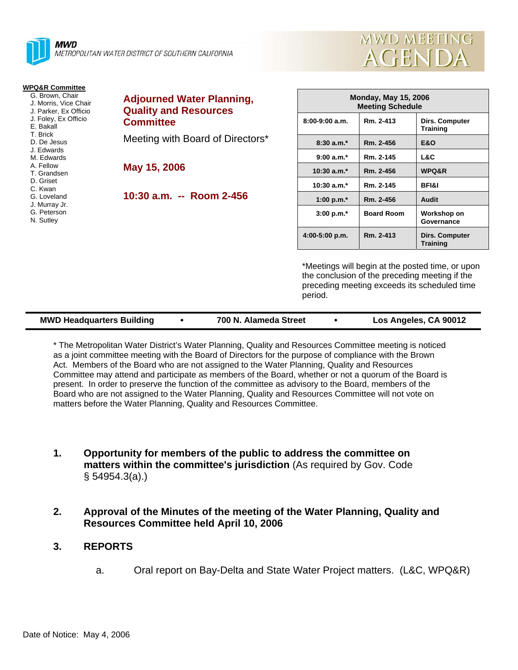

|  | MWD MEETING |
|--|-------------|
|  | AGENDA      |

upon

| <b>WPQ&amp;R Committee</b><br>G. Brown, Chair<br>J. Morris, Vice Chair<br>J. Parker, Ex Officio<br>J. Foley, Ex Officio<br>E. Bakall<br>T. Brick<br>D. De Jesus<br>J. Edwards<br>M. Edwards<br>A. Fellow<br>T. Grandsen<br>D. Griset<br>C. Kwan<br>G. Loveland<br>J. Murray Jr.<br>G. Peterson<br>N. Sutley | <b>Adjourned Water Planning,</b><br><b>Quality and Resources</b><br><b>Committee</b><br>Meeting with Board of Directors*<br>May 15, 2006 |                  | <b>Monday, May 15, 2006</b><br><b>Meeting Schedule</b> |                                                                                                                                                    |  |
|-------------------------------------------------------------------------------------------------------------------------------------------------------------------------------------------------------------------------------------------------------------------------------------------------------------|------------------------------------------------------------------------------------------------------------------------------------------|------------------|--------------------------------------------------------|----------------------------------------------------------------------------------------------------------------------------------------------------|--|
|                                                                                                                                                                                                                                                                                                             |                                                                                                                                          | $8:00-9:00$ a.m. | Rm. 2-413                                              | Dirs. Computer<br><b>Training</b>                                                                                                                  |  |
|                                                                                                                                                                                                                                                                                                             |                                                                                                                                          | $8:30 a.m.*$     | Rm. 2-456                                              | <b>E&amp;O</b>                                                                                                                                     |  |
|                                                                                                                                                                                                                                                                                                             |                                                                                                                                          | $9:00 a.m.*$     | Rm. 2-145                                              | L&C                                                                                                                                                |  |
|                                                                                                                                                                                                                                                                                                             |                                                                                                                                          | $10:30$ a.m. $*$ | Rm. 2-456                                              | WPQ&R                                                                                                                                              |  |
|                                                                                                                                                                                                                                                                                                             |                                                                                                                                          | $10:30$ a.m. $*$ | Rm. 2-145                                              | <b>BFI&amp;I</b>                                                                                                                                   |  |
|                                                                                                                                                                                                                                                                                                             | 10:30 a.m. -- Room 2-456                                                                                                                 | 1:00 p.m. $*$    | Rm. 2-456                                              | Audit                                                                                                                                              |  |
|                                                                                                                                                                                                                                                                                                             |                                                                                                                                          | $3:00 p.m.*$     | <b>Board Room</b>                                      | Workshop on<br>Governance                                                                                                                          |  |
|                                                                                                                                                                                                                                                                                                             |                                                                                                                                          | 4:00-5:00 p.m.   | Rm. 2-413                                              | Dirs. Computer<br><b>Training</b>                                                                                                                  |  |
|                                                                                                                                                                                                                                                                                                             |                                                                                                                                          |                  |                                                        | *Meetings will begin at the posted time, or upor<br>the conclusion of the preceding meeting if the<br>preceding meeting exceeds its scheduled time |  |

| <b>MWD Headquarters Building</b> | 700 N. Alameda Street | Los Angeles, CA 90012 |
|----------------------------------|-----------------------|-----------------------|
|                                  |                       |                       |

period.

\* The Metropolitan Water District's Water Planning, Quality and Resources Committee meeting is noticed as a joint committee meeting with the Board of Directors for the purpose of compliance with the Brown Act. Members of the Board who are not assigned to the Water Planning, Quality and Resources Committee may attend and participate as members of the Board, whether or not a quorum of the Board is present. In order to preserve the function of the committee as advisory to the Board, members of the Board who are not assigned to the Water Planning, Quality and Resources Committee will not vote on matters before the Water Planning, Quality and Resources Committee.

- **1. Opportunity for members of the public to address the committee on matters within the committee's jurisdiction** (As required by Gov. Code § 54954.3(a).)
- **2. Approval of the Minutes of the meeting of the Water Planning, Quality and Resources Committee held April 10, 2006**
- **3. REPORTS** 
	- a. Oral report on Bay-Delta and State Water Project matters. (L&C, WPQ&R)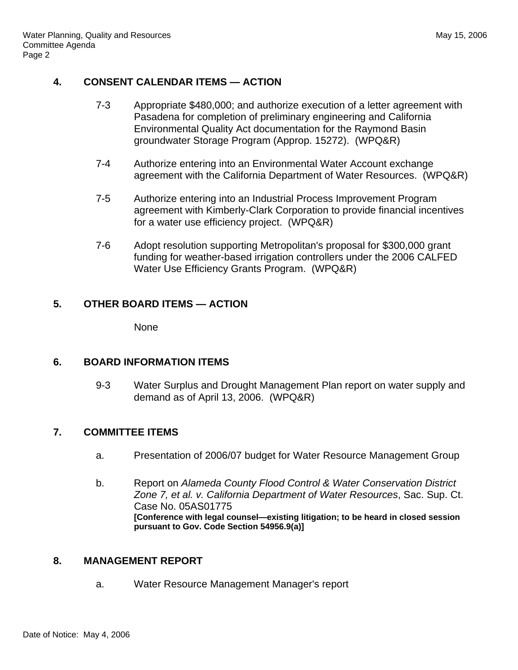### **4. CONSENT CALENDAR ITEMS — ACTION**

- 7-3 Appropriate \$480,000; and authorize execution of a letter agreement with Pasadena for completion of preliminary engineering and California Environmental Quality Act documentation for the Raymond Basin groundwater Storage Program (Approp. 15272). (WPQ&R)
- 7-4 Authorize entering into an Environmental Water Account exchange agreement with the California Department of Water Resources. (WPQ&R)
- 7-5 Authorize entering into an Industrial Process Improvement Program agreement with Kimberly-Clark Corporation to provide financial incentives for a water use efficiency project. (WPQ&R)
- 7-6 Adopt resolution supporting Metropolitan's proposal for \$300,000 grant funding for weather-based irrigation controllers under the 2006 CALFED Water Use Efficiency Grants Program. (WPQ&R)

# **5. OTHER BOARD ITEMS — ACTION**

None

# **6. BOARD INFORMATION ITEMS**

9-3 Water Surplus and Drought Management Plan report on water supply and demand as of April 13, 2006. (WPQ&R)

# **7. COMMITTEE ITEMS**

- a. Presentation of 2006/07 budget for Water Resource Management Group
- b. Report on *Alameda County Flood Control & Water Conservation District Zone 7, et al. v. California Department of Water Resources*, Sac. Sup. Ct. Case No. 05AS01775 **[Conference with legal counsel—existing litigation; to be heard in closed session pursuant to Gov. Code Section 54956.9(a)]**

# **8. MANAGEMENT REPORT**

a. Water Resource Management Manager's report